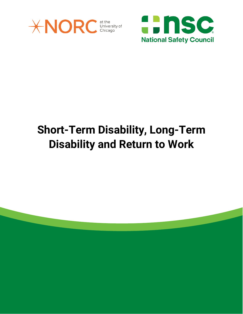



# **Short-Term Disability, Long-Term Disability and Return to Work**

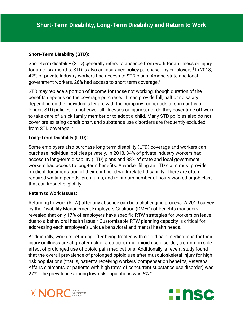## **Short-Term Disability (STD)**:

Short-term disability (STD) generally refers to absence from work for an illness or injury for up to s[i](#page-3-0)x months. STD is also an insurance policy purchased by employers.<sup>i</sup> In 2018, 42% of private industry workers had access to STD plans. Among state and local government workers, 26% had access to short-term coverage.<sup>[ii](#page-3-1)</sup>

STD *may* replace a portion of income for those not working, though duration of the benefits depends on the coverage purchased. It can provide full, half or no salary depending on the individual's tenure with the company for periods of six months or longer. STD policies do not cover all illnesses or injuries, nor do they cover time off work to take care of a sick family member or to adopt a child. Many STD policies also do not cover pre-existing conditions<sup>iii</sup>, and substance use disorders are frequently excluded from STD coverage.<sup>[iv](#page-3-3)</sup>

### **Long-Term Disability (LTD):**

Some employers also purchase long-term disability (LTD) coverage and workers can purchase individual policies privately. In 2018, 34% of private industry workers had access to long-term disability (LTD) plans and 38% of state and local government workers had access to long-term benefits. A worker filing an LTD claim must provide medical documentation of their continued work-related disability. There are often required waiting periods, premiums, and minimum number of hours worked or job class that can impact eligibility.

#### **Return to Work Issues:**

Returning to work (RTW) after any absence can be a challenging process. A 2019 survey by the Disability Management Employers Coalition (DMEC) of benefits managers revealed that only 17% of employers have specific RTW strategies for workers on leave due to a beha[v](#page-3-4)ioral health issue.<sup>v</sup> Customizable RTW planning capacity is critical for addressing each employee's unique behavioral and mental health needs.

Additionally, workers returning after being treated with opioid pain medications for their injury or illness are at greater risk of a co-occurring opioid use disorder, a common side effect of prolonged use of opioid pain medications. Additionally, a recent study found that the overall prevalence of prolonged opioid use after musculoskeletal injury for highrisk populations (that is, patients receiving workers' compensation benefits, Veterans Affairs claimants, or patients with high rates of concurrent substance use disorder) was 27%. The prevalence among low-risk populations was  $6\%$ .  $\frac{v_i}{v}$ 



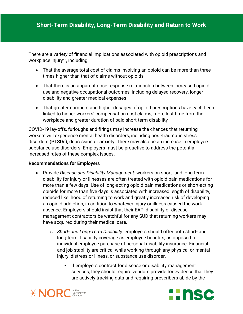There are a variety of financial implications associated with opioid prescriptions and workplace injury<sup>vii</sup>, including:

- That the average total cost of claims involving an opioid can be more than three times higher than that of claims without opioids
- That there is an apparent dose-response relationship between increased opioid use and negative occupational outcomes, including delayed recovery, longer disability and greater medical expenses
- That greater numbers and higher dosages of opioid prescriptions have each been linked to higher workers' compensation cost claims, more lost time from the workplace and greater duration of paid short-term disability

COVID-19 lay-offs, furloughs and firings may increase the chances that returning workers will experience mental health disorders, including post-traumatic stress disorders (PTSDs), depression or anxiety. There may also be an increase in employee substance use disorders. Employers must be proactive to address the potential increased rates of these complex issues.

### **Recommendations for Employers**

- Provide *Disease and Disability Management*: workers on short- and long-term disability for injury or illnesses are often treated with opioid pain medications for more than a few days. Use of long-acting opioid pain medications or short-acting opioids for more than five days is associated with increased length of disability, reduced likelihood of returning to work and greatly increased risk of developing an opioid addiction, in addition to whatever injury or illness caused the work absence. Employers should insist that their EAP, disability or disease management contractors be watchful for any SUD that returning workers may have acquired during their medical care.
	- o *Short and Long-Term Disability:* employers should offer both short- and long-term disability coverage as employee benefits, as opposed to individual employee purchase of personal disability insurance. Financial and job stability are critical while working through any physical or mental injury, distress or illness, or substance use disorder.
		- If employers contract for disease or disability management services, they should require vendors provide for evidence that they are actively tracking data and requiring prescribers abide by the